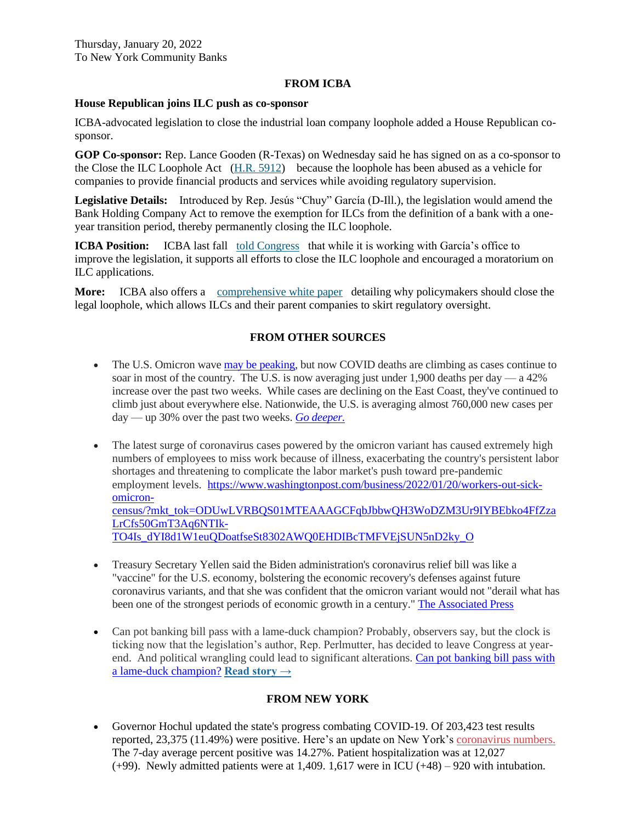### **FROM ICBA**

#### **House Republican joins ILC push as co-sponsor**

ICBA-advocated legislation to close the industrial loan company loophole added a House Republican cosponsor.

**GOP Co-sponsor:** Rep. Lance Gooden (R-Texas) on Wednesday said he has signed on as a co-sponsor to the Close the ILC Loophole Act (H.R. [5912\)](https://email.icba.org/e3t/Btc/ZS+113/cBPxD04/VWj2vG4qR3-KW2X5dPG4Xn775W2qd3df4Dxrl3N3S9PH53q3nJV1-WJV7CgTr0V9Csxx4-Hq7sW5GdRVV2cj_CfN5G5Ym4-BJQYN875rLVSxPNNW5Nj6L29clcL3W4kcPzZ9bp79yW3t0S1W8tl1w4W4b7tYb77WWLyW7vNLkR8Xv6lyW9fZVm46HB9j7W7wG4Jp209B-mW5js67-8MrzdgW2zG16P7YSjcTW66htgH44X3nvW2F5BtX3YRgFDW5SmcRR39nRq_W42mP3w3bc0hnW2Rz-RR2LKTq8W1gyP1F74wh8HW85Z_2g81YqR2W37Q-Pf457FsrW7SWGcx5jn1WPW4lgRyw2WYM22W8B0ZhP46RbmR377S1) because the loophole has been abused as a vehicle for companies to provide financial products and services while avoiding regulatory supervision.

**Legislative Details:** Introduced by Rep. Jesús "Chuy" García (D-Ill.), the legislation would amend the Bank Holding Company Act to remove the exemption for ILCs from the definition of a bank with a oneyear transition period, thereby permanently closing the ILC loophole.

**ICBA Position:** ICBA last fall [told Congress](https://email.icba.org/e3t/Btc/ZS+113/cBPxD04/VWj2vG4qR3-KW2X5dPG4Xn775W2qd3df4Dxrl3N3S9PGc5nCT_V3Zsc37CgK8gW1T6QfB8jY-cNW5g08N_2lBmxqW5f3gjw71HtNCW5kCJFZ3fDPCDW6nkp-Y4-P9Q-N7_9yx7pf4F9W6HCQZq7f-xpzW15NrVS8zrFVYVcdBGV2ypL4LW7wjZ5557Kgw1Vhrd9c9c-S8LW1dDgjz3mTgcVW4DflYL35kH-mW38CtP98_BHbcW1gLN7W5s09S8N4X64mnK04wNN3JL4D0Mtp1zW7yPD2g70CFFKN5hM2-9L_QfVW8RYnbj6jD1J1N71P8mR5WJSzW4PqZgF4tf_9SW905YVn58BkprW3Yx3_s841F01VNb_Lc6BGD59N66GQb4rnZg1W3HwP7F5PcNmJW7y6c2r5XM510W5Vq6yW4Q3GqFW690GFZ6PPb0vW2ZBksh6ZvYrtW55mY6381-6CpW6ZppJ06cfMvnW3c78VW6NKWkx32nT1) that while it is working with García's office to improve the legislation, it supports all efforts to close the ILC loophole and encouraged a moratorium on ILC applications.

**More:** ICBA also offers a [comprehensive white paper](https://email.icba.org/e3t/Btc/ZS+113/cBPxD04/VWj2vG4qR3-KW2X5dPG4Xn775W2qd3df4Dxrl3N3S9PH53q3nJV1-WJV7CgXHMW3b5LBW4Vts5vW3YjZrH96cFl6W60Rjhq66yYl-W52nkdK7_2LW5W4hTp0N2GV0YvW62WzSW20L9ZqW67TTlp2BxlykW3sS-s87xmPDqW5QC1LN8Lw86JW4Q41Wg4_fGD1W5GvrFL2vZqrPN5V_2YY8Hx6DW5tfQ1d6RrKDPW6ZGbNB5rDDrNW3FFNTq7gSn4PW8HLFlB4nnDHdW99Mlt88z-1_HW9bWcgx2Tt3xWW33fb-n6d-8ZMW41Cd345kGZSVW6k0jHF3wJ60yW6MMBRL784sbZVmH8BC1Hg8pZW1DfRZ91jmclW3gQc1) detailing why policymakers should close the legal loophole, which allows ILCs and their parent companies to skirt regulatory oversight.

# **FROM OTHER SOURCES**

- The U.S. Omicron wave may be [peaking,](https://link.axios.com/click/26425473.4906/aHR0cHM6Ly93d3cuYXhpb3MuY29tL29taWNyb24tY292aWQtY2FzZXMtZG93bi00MTkyZWZkNy0xZTI4LTQ3ZDMtYWMyNS0zNzY2M2IxZmNjZGIuaHRtbD91dG1fc291cmNlPW5ld3NsZXR0ZXImdXRtX21lZGl1bT1lbWFpbCZ1dG1fY2FtcGFpZ249bmV3c2xldHRlcl9heGlvc3ZpdGFscyZzdHJlYW09dG9w/587da0d5e9a8a26b698b4568B4006a5df) but now COVID deaths are climbing as cases continue to soar in most of the country. The U.S. is now averaging just under 1,900 deaths per day  $-$  a 42% increase over the past two weeks. While cases are declining on the East Coast, they've continued to climb just about everywhere else. Nationwide, the U.S. is averaging almost 760,000 new cases per day — up 30% over the past two weeks. *Go [deeper.](https://link.axios.com/click/26425473.4906/aHR0cHM6Ly93d3cuYXhpb3MuY29tL2NvdmlkLWNhc2VzLWRlYXRocy1vbWljcm9uLXdhdmUtcGFuZGVtaWMtNTI2NTMxYTgtYzMyZi00YzI1LWJjNjAtZDY4Y2RlMTIwNjQ2Lmh0bWw_dXRtX3NvdXJjZT1uZXdzbGV0dGVyJnV0bV9tZWRpdW09ZW1haWwmdXRtX2NhbXBhaWduPW5ld3NsZXR0ZXJfYXhpb3N2aXRhbHMmc3RyZWFtPXRvcA/587da0d5e9a8a26b698b4568B975bdb92)*
- The latest surge of coronavirus cases powered by the omicron variant has caused extremely high numbers of employees to miss work because of illness, exacerbating the country's persistent labor shortages and threatening to complicate the labor market's push toward pre-pandemic employment levels. [https://www.washingtonpost.com/business/2022/01/20/workers-out-sick](https://www.washingtonpost.com/business/2022/01/20/workers-out-sick-omicron-census/?mkt_tok=ODUwLVRBQS01MTEAAAGCFqbJbbwQH3WoDZM3Ur9IYBEbko4FfZzaLrCfs50GmT3Aq6NTIk-TO4Is_dYI8d1W1euQDoatfseSt8302AWQ0EHDIBcTMFVEjSUN5nD2ky_O)[omicron](https://www.washingtonpost.com/business/2022/01/20/workers-out-sick-omicron-census/?mkt_tok=ODUwLVRBQS01MTEAAAGCFqbJbbwQH3WoDZM3Ur9IYBEbko4FfZzaLrCfs50GmT3Aq6NTIk-TO4Is_dYI8d1W1euQDoatfseSt8302AWQ0EHDIBcTMFVEjSUN5nD2ky_O)[census/?mkt\\_tok=ODUwLVRBQS01MTEAAAGCFqbJbbwQH3WoDZM3Ur9IYBEbko4FfZza](https://www.washingtonpost.com/business/2022/01/20/workers-out-sick-omicron-census/?mkt_tok=ODUwLVRBQS01MTEAAAGCFqbJbbwQH3WoDZM3Ur9IYBEbko4FfZzaLrCfs50GmT3Aq6NTIk-TO4Is_dYI8d1W1euQDoatfseSt8302AWQ0EHDIBcTMFVEjSUN5nD2ky_O) [LrCfs50GmT3Aq6NTIk-](https://www.washingtonpost.com/business/2022/01/20/workers-out-sick-omicron-census/?mkt_tok=ODUwLVRBQS01MTEAAAGCFqbJbbwQH3WoDZM3Ur9IYBEbko4FfZzaLrCfs50GmT3Aq6NTIk-TO4Is_dYI8d1W1euQDoatfseSt8302AWQ0EHDIBcTMFVEjSUN5nD2ky_O)[TO4Is\\_dYI8d1W1euQDoatfseSt8302AWQ0EHDIBcTMFVEjSUN5nD2ky\\_O](https://www.washingtonpost.com/business/2022/01/20/workers-out-sick-omicron-census/?mkt_tok=ODUwLVRBQS01MTEAAAGCFqbJbbwQH3WoDZM3Ur9IYBEbko4FfZzaLrCfs50GmT3Aq6NTIk-TO4Is_dYI8d1W1euQDoatfseSt8302AWQ0EHDIBcTMFVEjSUN5nD2ky_O)
- Treasury Secretary Yellen said the Biden administration's coronavirus relief bill was like a "vaccine" for the U.S. economy, bolstering the economic recovery's defenses against future coronavirus variants, and that she was confident that the omicron variant would not "derail what has been one of the strongest periods of economic growth in a century." [The Associated Press](https://c.morningconsult.com/ODUwLVRBQS01MTEAAAGCFqbJbkF74CCJlFYirwoqz85NApc-WSvxmoEw5nrEIP9CinAg52DWIg-cX0dtSYyk3g1MdSY=)
- Can pot banking bill pass with a lame-duck champion? Probably, observers say, but the clock is ticking now that the legislation's author, Rep. Perlmutter, has decided to leave Congress at yearend. And political wrangling could lead to significant alterations. Can pot [banking](https://e.newsletters.arizent.com/click/Ec3RldmVyQGliYW55cy5uZXQ/CeyJtaWQiOiIxNjQyNjgzNjQ3NzMzZTk2YjU5ZDgyYjgwIiwiY3QiOiJzb3VyY2VtZWRpYS1wcm9kLTdmMTJlNjFlZTcxNjNlOGVjMjMyMThiMmQxZDQxMDhkLTM3IiwicmQiOiJpYmFueXMubmV0In0/HWkhfYXJpemVudG5ld3NfTkRCQU0wMTIwMjAyMjUwOTE5MzM3LGF6MSxodHRwczovL3d3dy5hbWVyaWNhbmJhbmtlci5jb20vbmV3cy9jYW4tcG90LWJhbmtpbmctYmlsbC1wYXNzLXdpdGgtYS1sYW1lLWR1Y2stY2hhbXBpb24/qP3Bvc2l0aW9uPWVkaXRvcmlhbF8xJmNhbXBhaWdubmFtZT1WMl9BQl9EYWlseV8yMDIxXzhBTS0wMTIwMjAyMiZ1dG1fc291cmNlPW5ld3NsZXR0ZXImdXRtX21lZGl1bT1lbWFpbCZ1dG1fY2FtcGFpZ249VjJfQUJfRGFpbHlfMjAyMV84QU0lMkIlMjctJTI3JTJCMDEyMDIwMjImYnRfZWU9U1QxdG5hOGxZclNKd3VOSTBBbTNsWFcxM3ZlRUVNbTJjeEZWdmZaT0lxaDk1NmdiUFlnM0UzeTNSOTliem9hdSZidF90cz0xNjQyNjgzNjQ3NzM2/sube200ebcc) bill pass with a lame-duck [champion?](https://e.newsletters.arizent.com/click/Ec3RldmVyQGliYW55cy5uZXQ/CeyJtaWQiOiIxNjQyNjgzNjQ3NzMzZTk2YjU5ZDgyYjgwIiwiY3QiOiJzb3VyY2VtZWRpYS1wcm9kLTdmMTJlNjFlZTcxNjNlOGVjMjMyMThiMmQxZDQxMDhkLTM3IiwicmQiOiJpYmFueXMubmV0In0/HWkhfYXJpemVudG5ld3NfTkRCQU0wMTIwMjAyMjUwOTE5MzM3LGF6MSxodHRwczovL3d3dy5hbWVyaWNhbmJhbmtlci5jb20vbmV3cy9jYW4tcG90LWJhbmtpbmctYmlsbC1wYXNzLXdpdGgtYS1sYW1lLWR1Y2stY2hhbXBpb24/qP3Bvc2l0aW9uPWVkaXRvcmlhbF8xJmNhbXBhaWdubmFtZT1WMl9BQl9EYWlseV8yMDIxXzhBTS0wMTIwMjAyMiZ1dG1fc291cmNlPW5ld3NsZXR0ZXImdXRtX21lZGl1bT1lbWFpbCZ1dG1fY2FtcGFpZ249VjJfQUJfRGFpbHlfMjAyMV84QU0lMkIlMjctJTI3JTJCMDEyMDIwMjImYnRfZWU9U1QxdG5hOGxZclNKd3VOSTBBbTNsWFcxM3ZlRUVNbTJjeEZWdmZaT0lxaDk1NmdiUFlnM0UzeTNSOTliem9hdSZidF90cz0xNjQyNjgzNjQ3NzM2/sube200ebcc) **[Read story →](https://e.newsletters.arizent.com/click/Ec3RldmVyQGliYW55cy5uZXQ/CeyJtaWQiOiIxNjQyNjgzNjQ3NzMzZTk2YjU5ZDgyYjgwIiwiY3QiOiJzb3VyY2VtZWRpYS1wcm9kLTdmMTJlNjFlZTcxNjNlOGVjMjMyMThiMmQxZDQxMDhkLTM3IiwicmQiOiJpYmFueXMubmV0In0/HWkhfYXJpemVudG5ld3NfTkRCQU0wMTIwMjAyMjUwOTE5MzM3LGF6MSxodHRwczovL3d3dy5hbWVyaWNhbmJhbmtlci5jb20vbmV3cy9jYW4tcG90LWJhbmtpbmctYmlsbC1wYXNzLXdpdGgtYS1sYW1lLWR1Y2stY2hhbXBpb24/qP3Bvc2l0aW9uPWVkaXRvcmlhbF8xJmNhbXBhaWdubmFtZT1WMl9BQl9EYWlseV8yMDIxXzhBTS0wMTIwMjAyMiZ1dG1fc291cmNlPW5ld3NsZXR0ZXImdXRtX21lZGl1bT1lbWFpbCZ1dG1fY2FtcGFpZ249VjJfQUJfRGFpbHlfMjAyMV84QU0lMkIlMjctJTI3JTJCMDEyMDIwMjImYnRfZWU9U1QxdG5hOGxZclNKd3VOSTBBbTNsWFcxM3ZlRUVNbTJjeEZWdmZaT0lxaDk1NmdiUFlnM0UzeTNSOTliem9hdSZidF90cz0xNjQyNjgzNjQ3NzM2/sube200ebcc)**

## **FROM NEW YORK**

• Governor Hochul updated the state's progress combating COVID-19. Of 203,423 test results reported, 23,375 (11.49%) were positive. Here's an update on New York's [coronavirus numbers.](https://cityandstateny.us14.list-manage.com/track/click?u=b52bdb04e9be7d59c90a99a8e&id=ce07825a7b&e=e55c2af3e3) The 7-day average percent positive was 14.27%. Patient hospitalization was at 12,027  $(+99)$ . Newly admitted patients were at 1,409. 1,617 were in ICU  $(+48)$  – 920 with intubation.